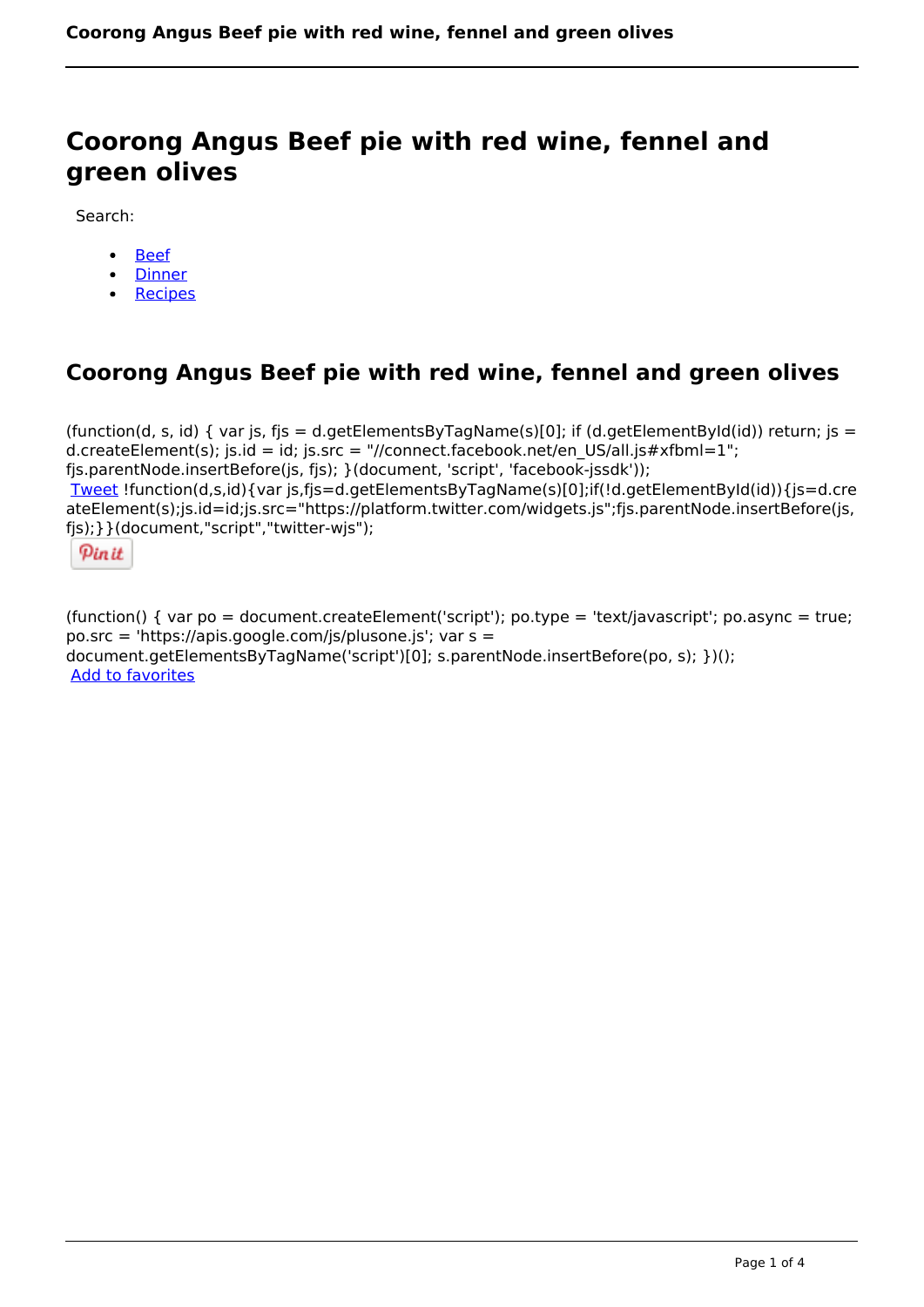# **Coorong Angus Beef pie with red wine, fennel and green olives**

Search:

- [Beef](https://www.naturalhealthmag.com.au/nourish/beef)  $\bullet$
- **[Dinner](https://www.naturalhealthmag.com.au/nourish/dinner-ideas)**
- [Recipes](https://www.naturalhealthmag.com.au/nourish/recipes)

## **Coorong Angus Beef pie with red wine, fennel and green olives**

(function(d, s, id) { var js, fjs = d.getElementsByTagName(s)[0]; if (d.getElementById(id)) return; js = d.createElement(s); js.id = id; js.src = "//connect.facebook.net/en\_US/all.js#xfbml=1"; fjs.parentNode.insertBefore(js, fjs); }(document, 'script', 'facebook-jssdk')); [Tweet](https://twitter.com/share) !function(d,s,id){var js,fjs=d.getElementsByTagName(s)[0];if(!d.getElementById(id)){js=d.cre ateElement(s);js.id=id;js.src="https://platform.twitter.com/widgets.js";fjs.parentNode.insertBefore(js, fjs);}}(document,"script","twitter-wjs");



(function() { var po = document.createElement('script'); po.type = 'text/javascript'; po.async = true; po.src = 'https://apis.google.com/js/plusone.js'; var s = document.getElementsByTagName('script')[0]; s.parentNode.insertBefore(po, s); })(); Add to favorites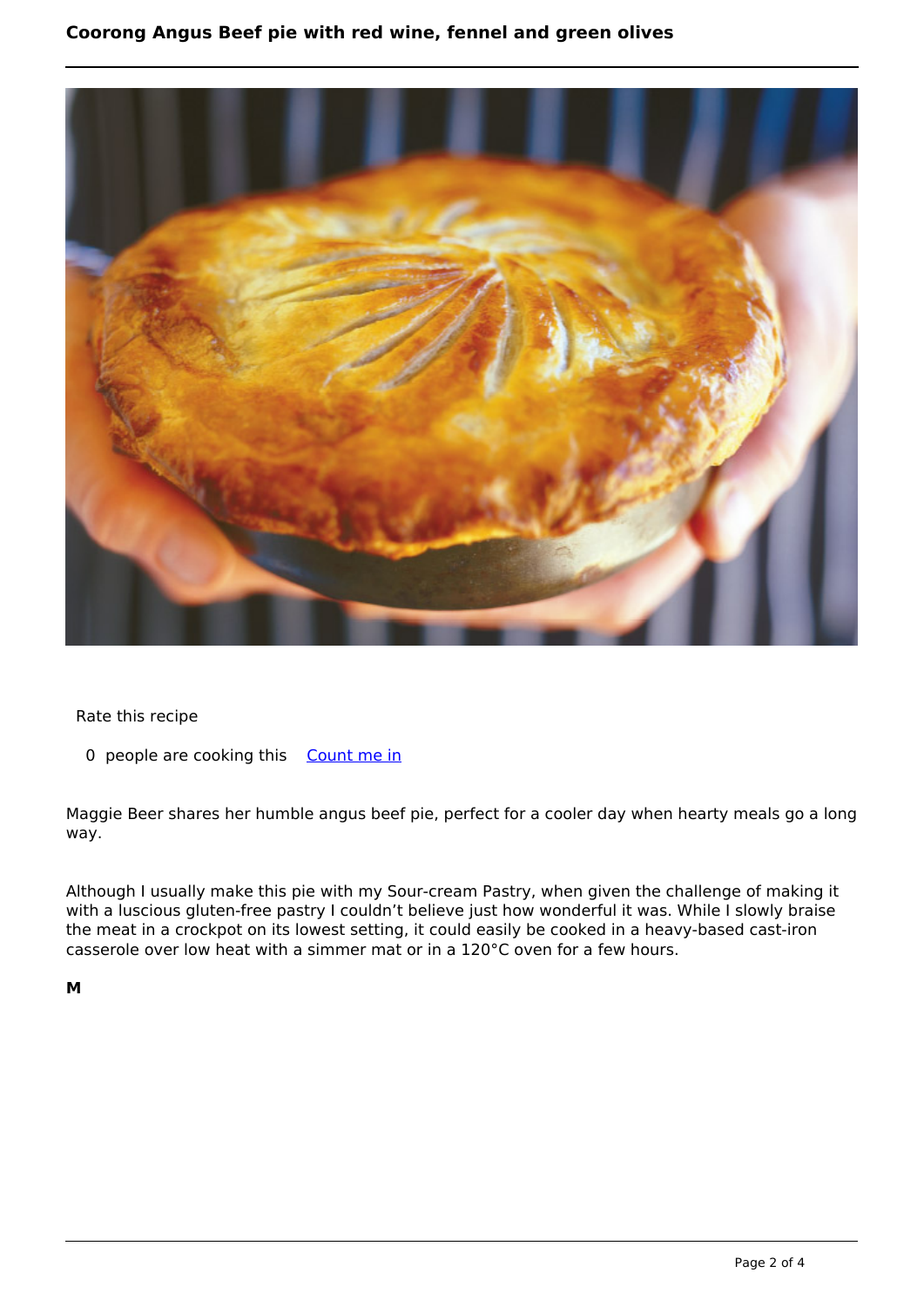

### Rate this recipe

0 people are cooking this [Count me in](https://www.naturalhealthmag.com.au/flag/flag/favorites/1970?destination=printpdf%2F1970&token=c2f79fad60684766507adb4c24e3e4df)

Maggie Beer shares her humble angus beef pie, perfect for a cooler day when hearty meals go a long way.

Although I usually make this pie with my Sour-cream Pastry, when given the challenge of making it with a luscious gluten-free pastry I couldn't believe just how wonderful it was. While I slowly braise the meat in a crockpot on its lowest setting, it could easily be cooked in a heavy-based cast-iron casserole over low heat with a simmer mat or in a 120°C oven for a few hours.

**M**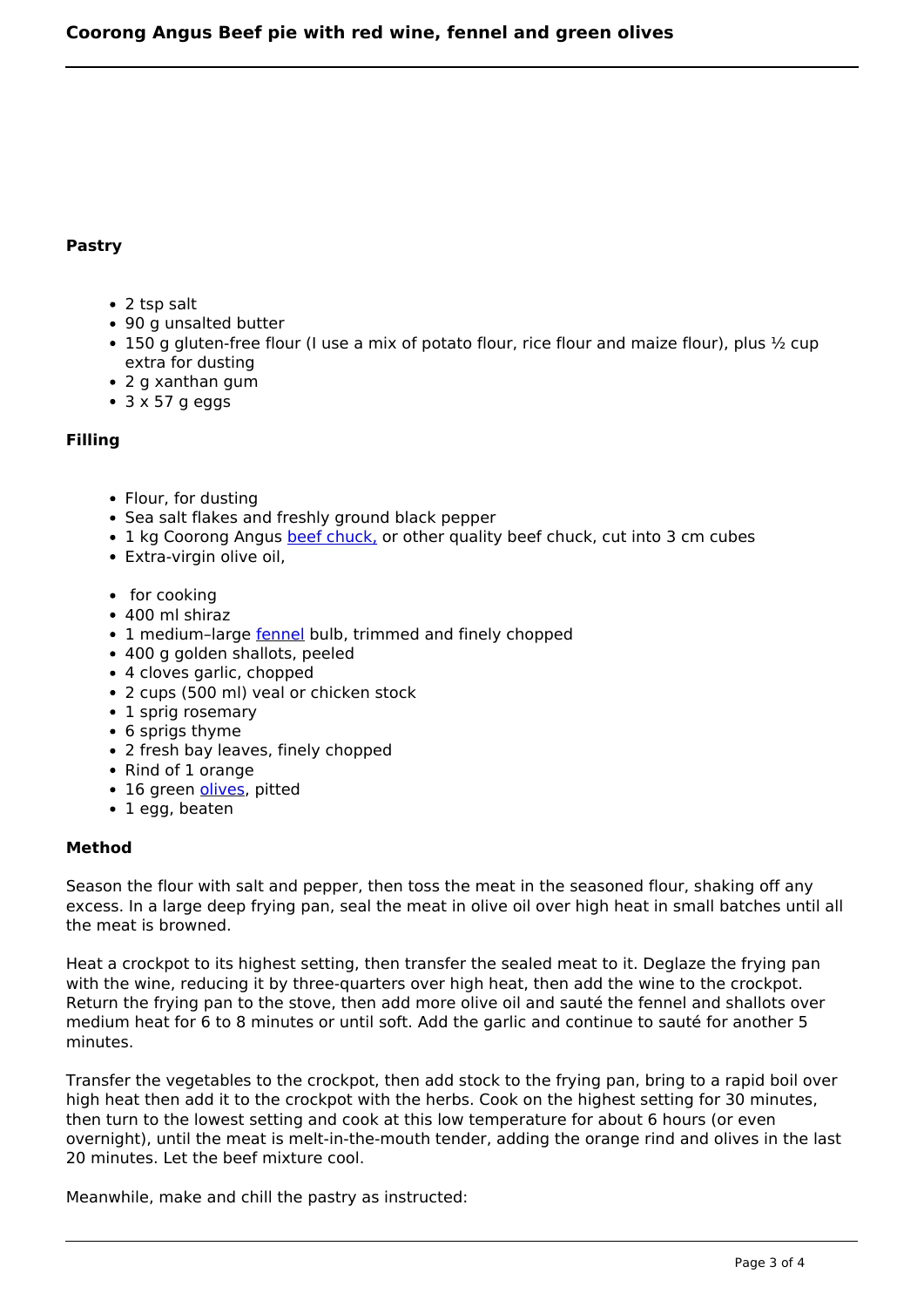#### **Pastry**

- 2 tsp salt
- 90 g unsalted butter
- 150 g gluten-free flour (I use a mix of potato flour, rice flour and maize flour), plus  $\frac{1}{2}$  cup extra for dusting
- 2 g xanthan gum
- $\bullet$  3 x 57 g eggs

#### **Filling**

- Flour, for dusting
- Sea salt flakes and freshly ground black pepper
- 1 kg Coorong Angus [beef chuck,](http://www.naturalhealthmag.com.au/nourish/beef-bourguignon-creamy-mash) or other quality beef chuck, cut into 3 cm cubes
- Extra-virgin olive oil,
- $\cdot$  for cooking
- 400 ml shiraz
- 1 medium-large [fennel](http://www.naturalhealthmag.com.au/nourish/fennel-orange-spanish-onion-salad) bulb, trimmed and finely chopped
- 400 g golden shallots, peeled
- 4 cloves garlic, chopped
- 2 cups (500 ml) veal or chicken stock
- 1 sprig rosemary
- 6 sprigs thyme
- 2 fresh bay leaves, finely chopped
- Rind of 1 orange
- 16 green *olives*, pitted
- 1 egg, beaten

#### **Method**

Season the flour with salt and pepper, then toss the meat in the seasoned flour, shaking off any excess. In a large deep frying pan, seal the meat in olive oil over high heat in small batches until all the meat is browned.

Heat a crockpot to its highest setting, then transfer the sealed meat to it. Deglaze the frying pan with the wine, reducing it by three-quarters over high heat, then add the wine to the crockpot. Return the frying pan to the stove, then add more olive oil and sauté the fennel and shallots over medium heat for 6 to 8 minutes or until soft. Add the garlic and continue to sauté for another 5 minutes.

Transfer the vegetables to the crockpot, then add stock to the frying pan, bring to a rapid boil over high heat then add it to the crockpot with the herbs. Cook on the highest setting for 30 minutes, then turn to the lowest setting and cook at this low temperature for about 6 hours (or even overnight), until the meat is melt-in-the-mouth tender, adding the orange rind and olives in the last 20 minutes. Let the beef mixture cool.

Meanwhile, make and chill the pastry as instructed: